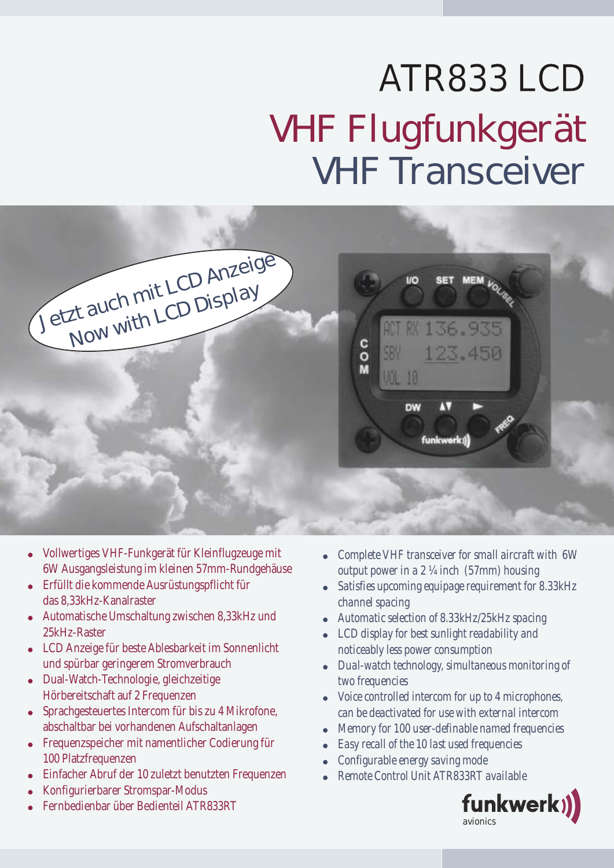## ATR833 LCD VHF Flugfunkgerät VHF Transceiver

| Jetzt auch mit LCD Anzeige | SET MEM VOL<br><b>I/O</b>                     |  |
|----------------------------|-----------------------------------------------|--|
|                            | ACT RX 136.935<br>$\frac{c}{M}$<br>98 123.450 |  |
|                            | VOL 10<br><b>DW</b>                           |  |
|                            | funkwork)                                     |  |
|                            |                                               |  |

- ! Vollwertiges VHF-Funkgerät für Kleinflugzeuge mit 6W Ausgangsleistung im kleinen 57mm-Rundgehäuse
- ! Erfüllt die kommende Ausrüstungspflicht für das 8,33kHz-Kanalraster
- ! Automatische Umschaltung zwischen 8,33kHz und 25kHz-Raster
- ! LCD Anzeige für beste Ablesbarkeit im Sonnenlicht und spürbar geringerem Stromverbrauch
- Dual-Watch-Technologie, gleichzeitige Hörbereitschaft auf 2 Frequenzen
- ! Sprachgesteuertes Intercom für bis zu 4 Mikrofone, abschaltbar bei vorhandenen Aufschaltanlagen
- ! Frequenzspeicher mit namentlicher Codierung für 100 Platzfrequenzen
- ! Einfacher Abruf der 10 zuletzt benutzten Frequenzen
- ! Konfigurierbarer Stromspar-Modus
- ! Fernbedienbar über Bedienteil ATR833RT
- ! *Complete VHF transceiver for small aircraft with 6W output power in a 2 ¼ inch (57mm) housing*
- ! *Satisfies upcoming equipage requirement for 8.33kHz channel spacing*
- ! *Automatic selection of 8.33kHz/25kHz spacing*
- ! *LCD display for best sunlight readability and noticeably less power consumption*
- ! *Dual-watch technology, simultaneous monitoring of two frequencies*
- ! *Voice controlled intercom for up to 4 microphones, can be deactivated for use with external intercom*
- ! *Memory for 100 user-definable named frequencies*
- ! *Easy recall of the 10 last used frequencies*
- ! *Configurable energy saving mode*
- ! *Remote Control Unit ATR833RT available*